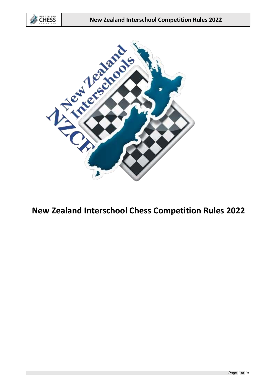



**New Zealand Interschool Chess Competition Rules 2022**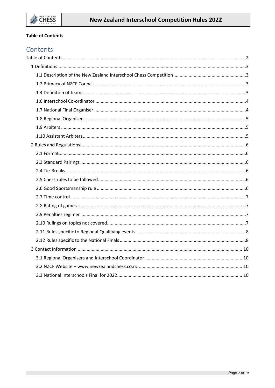## <span id="page-1-0"></span>**Table of Contents**

# Contents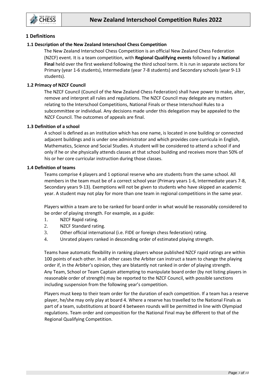

## <span id="page-2-0"></span>**1 Definitions**

## <span id="page-2-1"></span>**1.1 Description of the New Zealand Interschool Chess Competition**

The New Zealand Interschool Chess Competition is an official New Zealand Chess Federation (NZCF) event. It is a team competition, with **Regional Qualifying events** followed by a **National Final** held over the first weekend following the third school term. It is run in separate sections for Primary (year 1-6 students), Intermediate (year 7-8 students) and Secondary schools (year 9-13 students).

## <span id="page-2-2"></span>**1.2 Primacy of NZCF Council**

The NZCF Council (Council of the New Zealand Chess Federation) shall have power to make, alter, remove and interpret all rules and regulations. The NZCF Council may delegate any matters relating to the Interschool Competitions, National Finals or these Interschool Rules to a subcommittee or individual. Any decisions made under this delegation may be appealed to the NZCF Council. The outcomes of appeals are final.

## **1.3 Definition of a school**

A school is defined as an institution which has one name, is located in one building or connected adjacent buildings and is under one administrator and which provides core curricula in English, Mathematics, Science and Social Studies. A student will be considered to attend a school if and only if he or she physically attends classes at that school building and receives more than 50% of his or her core curricular instruction during those classes.

#### <span id="page-2-3"></span>**1.4 Definition of teams**

Teams comprise 4 players and 1 optional reserve who are students from the same school. All members in the team must be of a correct school year (Primary years 1-6, Intermediate years 7-8, Secondary years 9-13). Exemptions will not be given to students who have skipped an academic year. A student may not play for more than one team in regional competitions in the same year.

Players within a team are to be ranked for board order in what would be reasonably considered to be order of playing strength. For example, as a guide:

- 1. NZCF Rapid rating.
- 2. NZCF Standard rating.
- 3. Other official international (i.e. FIDE or foreign chess federation) rating.
- 4. Unrated players ranked in descending order of estimated playing strength.

Teams have automatic flexibility in ranking players whose published NZCF rapid ratings are within 100 points of each other. In all other cases the Arbiter can instruct a team to change the playing order if, in the Arbiter's opinion, they are blatantly not ranked in order of playing strength. Any Team, School or Team Captain attempting to manipulate board order (by not listing players in reasonable order of strength) may be reported to the NZCF Council, with possible sanctions including suspension from the following year's competition.

Players must keep to their team order for the duration of each competition. If a team has a reserve player, he/she may only play at board 4. Where a reserve has travelled to the National Finals as part of a team, substitutions at board 4 between rounds will be permitted in line with Olympiad regulations. Team order and composition for the National Final may be different to that of the Regional Qualifying Competition.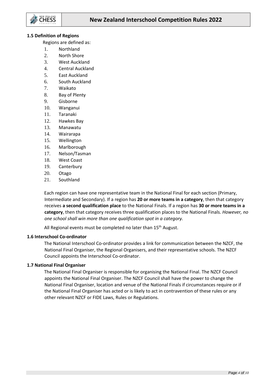

#### **1.5 Definition of Regions**

Regions are defined as:

- 1. Northland
- 2. North Shore
- 3. West Auckland
- 4. Central Auckland
- 5. East Auckland
- 6. South Auckland
- 7. Waikato
- 8. Bay of Plenty
- 9. Gisborne
- 10. Wanganui
- 11. Taranaki
- 12. Hawkes Bay
- 13. Manawatu
- 14. Wairarapa
- 15. Wellington
- 16. Marlborough
- 17. Nelson/Tasman
- 18. West Coast
- 19. Canterbury
- 20. Otago
- 21. Southland

Each region can have one representative team in the National Final for each section (Primary, Intermediate and Secondary). If a region has **20 or more teams in a category**, then that category receives **a second qualification place** to the National Finals. If a region has **30 or more teams in a category**, then that category receives three qualification places to the National Finals. *However, no one school shall win more than one qualification spot in a category.*

All Regional events must be completed no later than 15<sup>th</sup> August.

## <span id="page-3-0"></span>**1.6 Interschool Co-ordinator**

The National Interschool Co-ordinator provides a link for communication between the NZCF, the National Final Organiser, the Regional Organisers, and their representative schools. The NZCF Council appoints the Interschool Co-ordinator.

## <span id="page-3-1"></span>**1.7 National Final Organiser**

The National Final Organiser is responsible for organising the National Final. The NZCF Council appoints the National Final Organiser. The NZCF Council shall have the power to change the National Final Organiser, location and venue of the National Finals if circumstances require or if the National Final Organiser has acted or is likely to act in contravention of these rules or any other relevant NZCF or FIDE Laws, Rules or Regulations.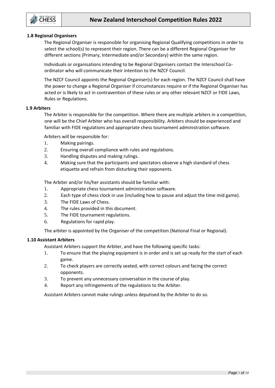

#### <span id="page-4-0"></span>**1.8 Regional Organisers**

The Regional Organiser is responsible for organising Regional Qualifying competitions in order to select the school(s) to represent their region. There can be a different Regional Organiser for different sections (Primary, Intermediate and/or Secondary) within the same region.

Individuals or organisations intending to be Regional Organisers contact the Interschool Coordinator who will communicate their intention to the NZCF Council.

The NZCF Council appoints the Regional Organiser(s) for each region. The NZCF Council shall have the power to change a Regional Organiser if circumstances require or if the Regional Organiser has acted or is likely to act in contravention of these rules or any other relevant NZCF or FIDE Laws, Rules or Regulations.

#### <span id="page-4-1"></span>**1.9 Arbiters**

The Arbiter is responsible for the competition. Where there are multiple arbiters in a competition, one will be the Chief Arbiter who has overall responsibility. Arbiters should be experienced and familiar with FIDE regulations and appropriate chess tournament administration software.

Arbiters will be responsible for:

- 1. Making pairings.
- 2. Ensuring overall compliance with rules and regulations.
- 3. Handling disputes and making rulings.
- 4. Making sure that the participants and spectators observe a high standard of chess etiquette and refrain from disturbing their opponents.

The Arbiter and/or his/her assistants should be familiar with:

- 1. Appropriate chess tournament administration software.
- 2. Each type of chess clock in use (including how to pause and adjust the time mid game).
- 3. The FIDE Laws of Chess.
- 4. The rules provided in this document.
- 5. The FIDE tournament regulations.
- 6. Regulations for rapid play.

The arbiter is appointed by the Organiser of the competition (National Final or Regional).

## <span id="page-4-2"></span>**1.10 Assistant Arbiters**

Assistant Arbiters support the Arbiter, and have the following specific tasks:

- 1. To ensure that the playing equipment is in order and is set up ready for the start of each game.
- 2. To check players are correctly seated, with correct colours and facing the correct opponents.
- 3. To prevent any unnecessary conversation in the course of play.
- 4. Report any infringements of the regulations to the Arbiter.

Assistant Arbiters cannot make rulings unless deputised by the Arbiter to do so.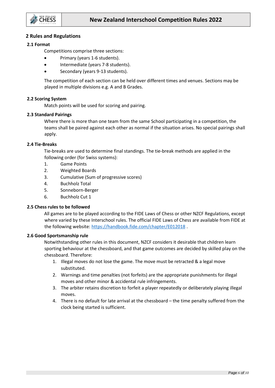

## <span id="page-5-0"></span>**2 Rules and Regulations**

## <span id="page-5-1"></span>**2.1 Format**

Competitions comprise three sections:

- Primary (years 1-6 students).
- Intermediate (years 7-8 students).
- Secondary (years 9-13 students).

The competition of each section can be held over different times and venues. Sections may be played in multiple divisions e.g. A and B Grades.

#### **2.2 Scoring System**

Match points will be used for scoring and pairing.

#### <span id="page-5-2"></span>**2.3 Standard Pairings**

Where there is more than one team from the same School participating in a competition, the teams shall be paired against each other as normal if the situation arises. No special pairings shall apply.

#### <span id="page-5-3"></span>**2.4 Tie-Breaks**

Tie-breaks are used to determine final standings. The tie-break methods are applied in the following order (for Swiss systems):

- 1. Game Points
- 2. Weighted Boards
- 3. Cumulative (Sum of progressive scores)
- 4. Buchholz Total
- 5. Sonneborn-Berger
- 6. Buchholz Cut 1

## <span id="page-5-4"></span>**2.5 Chess rules to be followed**

All games are to be played according to the FIDE Laws of Chess or other NZCF Regulations, except where varied by these Interschool rules. The official FIDE Laws of Chess are available from FIDE at the following website:<https://handbook.fide.com/chapter/E012018> .

#### <span id="page-5-5"></span>**2.6 Good Sportsmanship rule**

Notwithstanding other rules in this document, NZCF considers it desirable that children learn sporting behaviour at the chessboard, and that game outcomes are decided by skilled play on the chessboard. Therefore:

- 1. Illegal moves do not lose the game. The move must be retracted & a legal move substituted.
- 2. Warnings and time penalties (not forfeits) are the appropriate punishments for illegal moves and other minor & accidental rule infringements.
- 3. The arbiter retains discretion to forfeit a player repeatedly or deliberately playing illegal moves.
- 4. There is no default for late arrival at the chessboard the time penalty suffered from the clock being started is sufficient.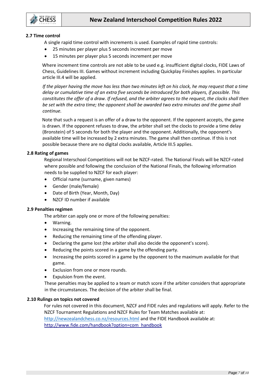

## <span id="page-6-0"></span>**2.7 Time control**

A single rapid time control with increments is used. Examples of rapid time controls:

- 25 minutes per player plus 5 seconds increment per move
- 15 minutes per player plus 5 seconds increment per move

Where increment time controls are not able to be used e.g. insufficient digital clocks, FIDE Laws of Chess, Guidelines III. Games without increment including Quickplay Finishes applies. In particular article III.4 will be applied.

*If the player having the move has less than two minutes left on his clock, he may request that a time delay or cumulative time of an extra five seconds be introduced for both players, if possible. This constitutes the offer of a draw. If refused, and the arbiter agrees to the request, the clocks shall then be set with the extra time; the opponent shall be awarded two extra minutes and the game shall continue.*

Note that such a request is an offer of a draw to the opponent. If the opponent accepts, the game is drawn. If the opponent refuses to draw, the arbiter shall set the clocks to provide a time delay (Bronstein) of 5 seconds for both the player and the opponent. Additionally, the opponent's available time will be increased by 2 extra minutes. The game shall then continue. If this is not possible because there are no digital clocks available, Article III.5 applies.

#### <span id="page-6-1"></span>**2.8 Rating of games**

Regional Interschool Competitions will not be NZCF-rated. The National Finals will be NZCF-rated where possible and following the conclusion of the National Finals, the following information needs to be supplied to NZCF for each player:

- Official name (surname, given names)
- Gender (male/female)
- Date of Birth (Year, Month, Day)
- NZCF ID number if available

#### <span id="page-6-2"></span>**2.9 Penalties regimen**

- The arbiter can apply one or more of the following penalties:
- Warning.
- Increasing the remaining time of the opponent.
- Reducing the remaining time of the offending player.
- Declaring the game lost (the arbiter shall also decide the opponent's score).
- Reducing the points scored in a game by the offending party.
- Increasing the points scored in a game by the opponent to the maximum available for that game.
- Exclusion from one or more rounds.
- Expulsion from the event.

These penalties may be applied to a team or match score if the arbiter considers that appropriate in the circumstances. The decision of the arbiter shall be final.

## <span id="page-6-3"></span>**2.10 Rulings on topics not covered**

For rules not covered in this document, NZCF and FIDE rules and regulations will apply. Refer to the NZCF Tournament Regulations and NZCF Rules for Team Matches available at: <http://newzealandchess.co.nz/resources.html> and the FIDE Handbook available at: [http://www.fide.com/handbook?option=com\\_handbook](http://www.fide.com/handbook?option=com_handbook)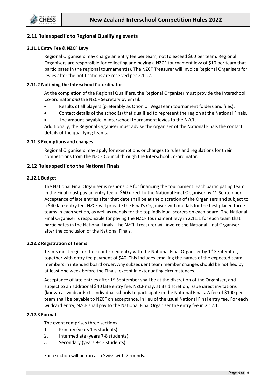

## <span id="page-7-0"></span>**2.11 Rules specific to Regional Qualifying events**

## **2.11.1 Entry Fee & NZCF Levy**

Regional Organisers may charge an entry fee per team, not to exceed \$60 per team. Regional Organisers are responsible for collecting and paying a NZCF tournament levy of \$10 per team that participates in the regional tournament(s). The NZCF Treasurer will invoice Regional Organisers for levies after the notifications are received per 2.11.2.

## **2.11.2 Notifying the Interschool Co-ordinator**

At the completion of the Regional Qualifiers, the Regional Organiser must provide the Interschool Co-ordinator *and* the NZCF Secretary by email:

- Results of all players (preferably as Orion or VegaTeam tournament folders and files).
- Contact details of the school(s) that qualified to represent the region at the National Finals.
- The amount payable in interschool tournament levies to the NZCF.

Additionally, the Regional Organiser must advise the organiser of the National Finals the contact details of the qualifying teams.

## **2.11.3 Exemptions and changes**

Regional Organisers may apply for exemptions or changes to rules and regulations for their competitions from the NZCF Council through the Interschool Co-ordinator.

## <span id="page-7-1"></span>**2.12 Rules specific to the National Finals**

## **2.12.1 Budget**

The National Final Organiser is responsible for financing the tournament. Each participating team in the Final must pay an entry fee of \$60 direct to the National Final Organiser by  $1^{st}$  September. Acceptance of late entries after that date shall be at the discretion of the Organisers and subject to a \$40 late entry fee. NZCF will provide the Final's Organiser with medals for the best placed three teams in each section, as well as medals for the top individual scorers on each board. The National Final Organiser is responsible for paying the NZCF tournament levy in 2.11.1 for each team that participates in the National Finals. The NZCF Treasurer will invoice the National Final Organiser after the conclusion of the National Finals.

## **2.12.2 Registration of Teams**

Teams must register their confirmed entry with the National Final Organiser by 1<sup>st</sup> September, together with entry fee payment of \$40. This includes emailing the names of the expected team members in intended board order. Any subsequent team member changes should be notified by at least one week before the Finals, except in extenuating circumstances.

Acceptance of late entries after 1<sup>st</sup> September shall be at the discretion of the Organiser, and subject to an additional \$40 late entry fee. NZCF may, at its discretion, issue direct invitations (known as wildcards) to individual schools to participate in the National Finals. A fee of \$100 per team shall be payable to NZCF on acceptance, in lieu of the usual National Final entry fee. For each wildcard entry, NZCF shall pay to the National Final Organiser the entry fee in 2.12.1.

## **2.12.3 Format**

The event comprises three sections:

- 1. Primary (years 1-6 students).
- 2. Intermediate (years 7-8 students).
- 3. Secondary (years 9-13 students).

Each section will be run as a Swiss with 7 rounds.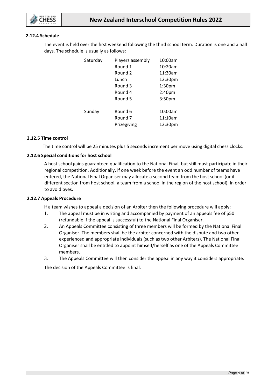

## **2.12.4 Schedule**

The event is held over the first weekend following the third school term. Duration is one and a half days. The schedule is usually as follows:

| Saturday | Players assembly   | 10:00am            |
|----------|--------------------|--------------------|
|          | Round 1            | 10:20am            |
|          | Round 2            | 11:30am            |
|          | Lunch              | 12:30pm            |
|          | Round 3            | 1:30 <sub>pm</sub> |
|          | Round 4            | 2:40 <sub>pm</sub> |
|          | Round 5            | 3:50 <sub>pm</sub> |
|          |                    |                    |
| Sunday   | Round 6            | 10:00am            |
|          | Round <sub>7</sub> | 11:10am            |
|          | Prizegiving        | 12:30pm            |
|          |                    |                    |

#### **2.12.5 Time control**

The time control will be 25 minutes plus 5 seconds increment per move using digital chess clocks.

#### **2.12.6 Special conditions for host school**

A host school gains guaranteed qualification to the National Final, but still must participate in their regional competition. Additionally, if one week before the event an odd number of teams have entered, the National Final Organiser may allocate a second team from the host school (or if different section from host school, a team from a school in the region of the host school), in order to avoid byes.

#### **2.12.7 Appeals Procedure**

If a team wishes to appeal a decision of an Arbiter then the following procedure will apply:

- 1. The appeal must be in writing and accompanied by payment of an appeals fee of \$50 (refundable if the appeal is successful) to the National Final Organiser.
- 2. An Appeals Committee consisting of three members will be formed by the National Final Organiser. The members shall be the arbiter concerned with the dispute and two other experienced and appropriate individuals (such as two other Arbiters). The National Final Organiser shall be entitled to appoint himself/herself as one of the Appeals Committee members.
- 3. The Appeals Committee will then consider the appeal in any way it considers appropriate.

The decision of the Appeals Committee is final.